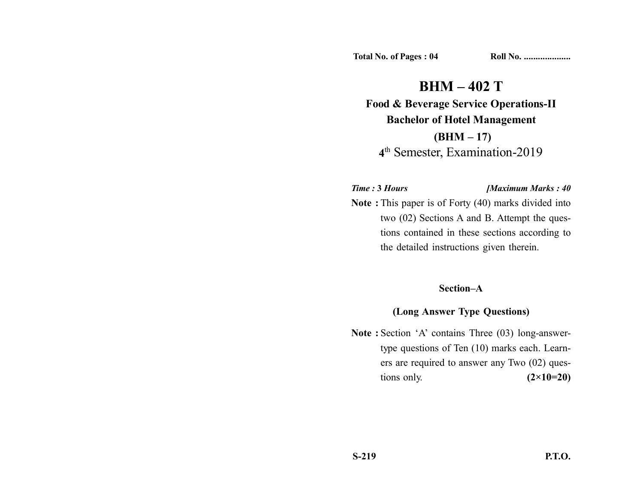**Total No. of Pages : 04 Roll No. ...................** 

**BHM – 402 T Food & Beverage Service Operations-II Bachelor of Hotel Management (BHM – 17) 4**th Semester, Examination-2019

## *Time :* **3** *Hours [Maximum Marks : 40*

**Note :** This paper is of Forty (40) marks divided into two (02) Sections A and B. Attempt the questions contained in these sections according to the detailed instructions given therein.

## **Section–A**

## **(Long Answer Type Questions)**

Note : Section 'A' contains Three (03) long-answertype questions of Ten (10) marks each. Learners are required to answer any Two (02) questions only. **(2×10=20)**